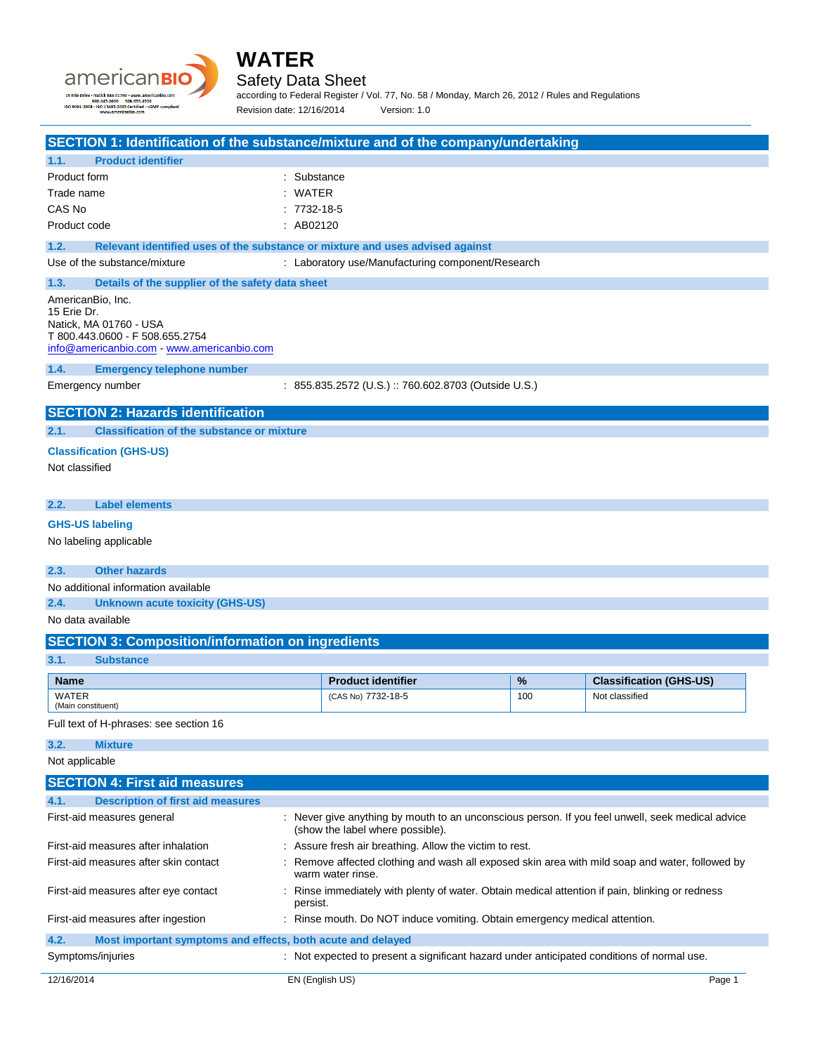



Safety Data Sheet

according to Federal Register / Vol. 77, No. 58 / Monday, March 26, 2012 / Rules and Regulations Revision date: 12/16/2014 Version: 1.0

| SECTION 1: Identification of the substance/mixture and of the company/undertaking                                                                           |                                                                                                                                      |     |                                |
|-------------------------------------------------------------------------------------------------------------------------------------------------------------|--------------------------------------------------------------------------------------------------------------------------------------|-----|--------------------------------|
| <b>Product identifier</b><br>1.1.                                                                                                                           |                                                                                                                                      |     |                                |
| Product form                                                                                                                                                | : Substance                                                                                                                          |     |                                |
| Trade name                                                                                                                                                  | : WATER                                                                                                                              |     |                                |
| CAS No                                                                                                                                                      | $:7732-18-5$                                                                                                                         |     |                                |
| Product code                                                                                                                                                | : AB02120                                                                                                                            |     |                                |
| 1.2.<br>Relevant identified uses of the substance or mixture and uses advised against                                                                       |                                                                                                                                      |     |                                |
| Use of the substance/mixture                                                                                                                                | : Laboratory use/Manufacturing component/Research                                                                                    |     |                                |
| 1.3.<br>Details of the supplier of the safety data sheet                                                                                                    |                                                                                                                                      |     |                                |
| AmericanBio, Inc.<br>15 Erie Dr.<br>Natick, MA 01760 - USA<br>T 800.443.0600 - F 508.655.2754<br>info@americanbio.com - www.americanbio.com                 |                                                                                                                                      |     |                                |
| 1.4.<br><b>Emergency telephone number</b>                                                                                                                   |                                                                                                                                      |     |                                |
| Emergency number                                                                                                                                            | : 855.835.2572 (U.S.) :: 760.602.8703 (Outside U.S.)                                                                                 |     |                                |
|                                                                                                                                                             |                                                                                                                                      |     |                                |
| <b>SECTION 2: Hazards identification</b>                                                                                                                    |                                                                                                                                      |     |                                |
| <b>Classification of the substance or mixture</b><br>2.1.                                                                                                   |                                                                                                                                      |     |                                |
| <b>Classification (GHS-US)</b>                                                                                                                              |                                                                                                                                      |     |                                |
| Not classified                                                                                                                                              |                                                                                                                                      |     |                                |
|                                                                                                                                                             |                                                                                                                                      |     |                                |
| <b>Label elements</b><br>2.2.                                                                                                                               |                                                                                                                                      |     |                                |
| <b>GHS-US labeling</b>                                                                                                                                      |                                                                                                                                      |     |                                |
| No labeling applicable                                                                                                                                      |                                                                                                                                      |     |                                |
|                                                                                                                                                             |                                                                                                                                      |     |                                |
| <b>Other hazards</b><br>2.3.                                                                                                                                |                                                                                                                                      |     |                                |
| No additional information available                                                                                                                         |                                                                                                                                      |     |                                |
| 2.4.<br><b>Unknown acute toxicity (GHS-US)</b>                                                                                                              |                                                                                                                                      |     |                                |
| No data available                                                                                                                                           |                                                                                                                                      |     |                                |
| <b>SECTION 3: Composition/information on ingredients</b>                                                                                                    |                                                                                                                                      |     |                                |
| 3.1.<br><b>Substance</b>                                                                                                                                    |                                                                                                                                      |     |                                |
| <b>Name</b>                                                                                                                                                 | <b>Product identifier</b>                                                                                                            | %   | <b>Classification (GHS-US)</b> |
| <b>WATER</b><br>(Main constituent)                                                                                                                          | (CAS No) 7732-18-5                                                                                                                   | 100 | Not classified                 |
| Full text of H-phrases: see section 16                                                                                                                      |                                                                                                                                      |     |                                |
|                                                                                                                                                             |                                                                                                                                      |     |                                |
| <b>Mixture</b><br>3.2.                                                                                                                                      |                                                                                                                                      |     |                                |
| Not applicable                                                                                                                                              |                                                                                                                                      |     |                                |
| <b>SECTION 4: First aid measures</b>                                                                                                                        |                                                                                                                                      |     |                                |
| <b>Description of first aid measures</b><br>4.1.                                                                                                            |                                                                                                                                      |     |                                |
| First-aid measures general                                                                                                                                  | : Never give anything by mouth to an unconscious person. If you feel unwell, seek medical advice<br>(show the label where possible). |     |                                |
| First-aid measures after inhalation                                                                                                                         | : Assure fresh air breathing. Allow the victim to rest.                                                                              |     |                                |
| First-aid measures after skin contact<br>Remove affected clothing and wash all exposed skin area with mild soap and water, followed by<br>warm water rinse. |                                                                                                                                      |     |                                |
| First-aid measures after eye contact<br>: Rinse immediately with plenty of water. Obtain medical attention if pain, blinking or redness<br>persist.         |                                                                                                                                      |     |                                |
| First-aid measures after ingestion                                                                                                                          | : Rinse mouth. Do NOT induce vomiting. Obtain emergency medical attention.                                                           |     |                                |
| 4.2.<br>Most important symptoms and effects, both acute and delayed                                                                                         |                                                                                                                                      |     |                                |
| Symptoms/injuries                                                                                                                                           | : Not expected to present a significant hazard under anticipated conditions of normal use.                                           |     |                                |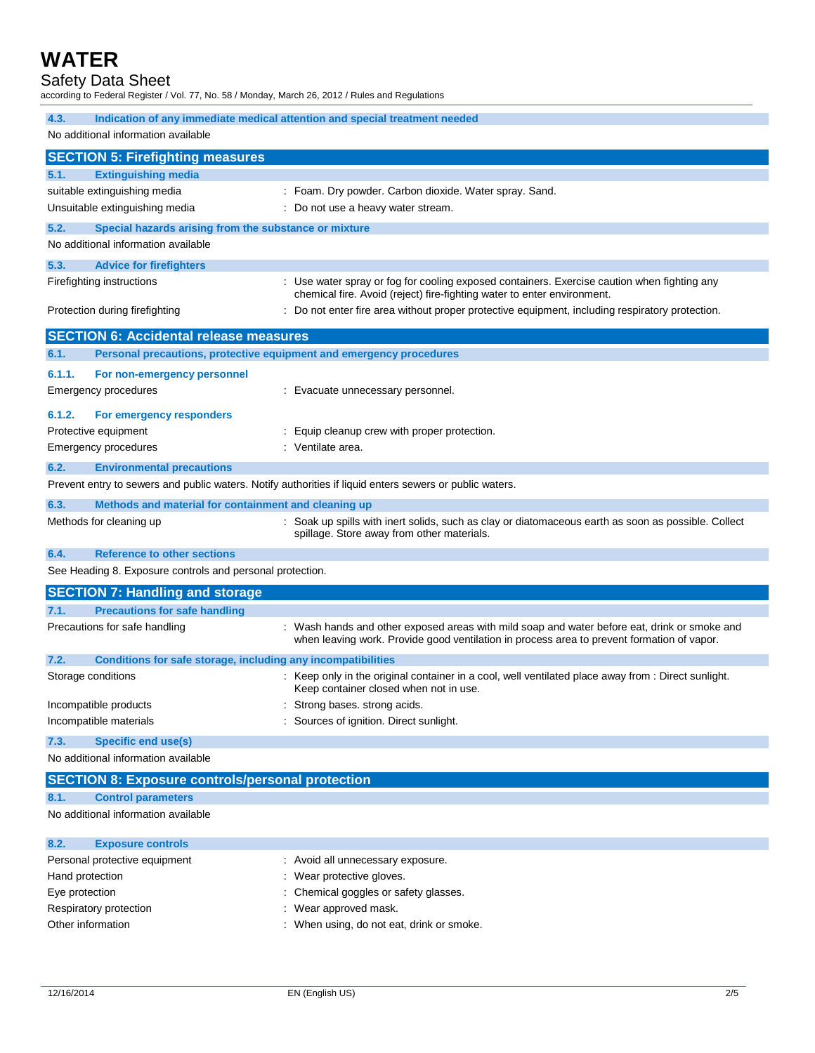### **WATER**

#### Safety Data Sheet

according to Federal Register / Vol. 77, No. 58 / Monday, March 26, 2012 / Rules and Regulations

| Indication of any immediate medical attention and special treatment needed<br>4.3. |                                                                                                                                                                                            |  |
|------------------------------------------------------------------------------------|--------------------------------------------------------------------------------------------------------------------------------------------------------------------------------------------|--|
| No additional information available                                                |                                                                                                                                                                                            |  |
| <b>SECTION 5: Firefighting measures</b>                                            |                                                                                                                                                                                            |  |
| <b>Extinguishing media</b><br>5.1.                                                 |                                                                                                                                                                                            |  |
| suitable extinguishing media                                                       | : Foam. Dry powder. Carbon dioxide. Water spray. Sand.                                                                                                                                     |  |
| Unsuitable extinguishing media                                                     | : Do not use a heavy water stream.                                                                                                                                                         |  |
| 5.2.<br>Special hazards arising from the substance or mixture                      |                                                                                                                                                                                            |  |
| No additional information available                                                |                                                                                                                                                                                            |  |
| 5.3.<br><b>Advice for firefighters</b>                                             |                                                                                                                                                                                            |  |
| Firefighting instructions                                                          | : Use water spray or fog for cooling exposed containers. Exercise caution when fighting any<br>chemical fire. Avoid (reject) fire-fighting water to enter environment.                     |  |
| Protection during firefighting                                                     | : Do not enter fire area without proper protective equipment, including respiratory protection.                                                                                            |  |
| <b>SECTION 6: Accidental release measures</b>                                      |                                                                                                                                                                                            |  |
| Personal precautions, protective equipment and emergency procedures<br>6.1.        |                                                                                                                                                                                            |  |
| 6.1.1.<br>For non-emergency personnel                                              |                                                                                                                                                                                            |  |
| <b>Emergency procedures</b>                                                        | : Evacuate unnecessary personnel.                                                                                                                                                          |  |
| 6.1.2.<br>For emergency responders                                                 |                                                                                                                                                                                            |  |
| Protective equipment                                                               | : Equip cleanup crew with proper protection.                                                                                                                                               |  |
| <b>Emergency procedures</b>                                                        | : Ventilate area.                                                                                                                                                                          |  |
| 6.2.<br><b>Environmental precautions</b>                                           |                                                                                                                                                                                            |  |
|                                                                                    | Prevent entry to sewers and public waters. Notify authorities if liquid enters sewers or public waters.                                                                                    |  |
| 6.3.<br>Methods and material for containment and cleaning up                       |                                                                                                                                                                                            |  |
| Methods for cleaning up                                                            | : Soak up spills with inert solids, such as clay or diatomaceous earth as soon as possible. Collect<br>spillage. Store away from other materials.                                          |  |
| 6.4.<br><b>Reference to other sections</b>                                         |                                                                                                                                                                                            |  |
| See Heading 8. Exposure controls and personal protection.                          |                                                                                                                                                                                            |  |
| <b>SECTION 7: Handling and storage</b>                                             |                                                                                                                                                                                            |  |
| 7.1.<br><b>Precautions for safe handling</b>                                       |                                                                                                                                                                                            |  |
| Precautions for safe handling                                                      | : Wash hands and other exposed areas with mild soap and water before eat, drink or smoke and<br>when leaving work. Provide good ventilation in process area to prevent formation of vapor. |  |
| 7.2.<br>Conditions for safe storage, including any incompatibilities               |                                                                                                                                                                                            |  |
| Storage conditions                                                                 | : Keep only in the original container in a cool, well ventilated place away from : Direct sunlight.<br>Keep container closed when not in use.                                              |  |
| Incompatible products                                                              | : Strong bases. strong acids.                                                                                                                                                              |  |
| Incompatible materials                                                             | Sources of ignition. Direct sunlight.                                                                                                                                                      |  |
| <b>Specific end use(s)</b><br>7.3.                                                 |                                                                                                                                                                                            |  |
| No additional information available                                                |                                                                                                                                                                                            |  |
| <b>SECTION 8: Exposure controls/personal protection</b>                            |                                                                                                                                                                                            |  |
| 8.1.<br><b>Control parameters</b>                                                  |                                                                                                                                                                                            |  |
| No additional information available                                                |                                                                                                                                                                                            |  |
|                                                                                    |                                                                                                                                                                                            |  |

| 8.2.              | <b>Exposure controls</b>      |                                           |
|-------------------|-------------------------------|-------------------------------------------|
|                   | Personal protective equipment | : Avoid all unnecessary exposure.         |
| Hand protection   |                               | : Wear protective gloves.                 |
| Eye protection    |                               | : Chemical goggles or safety glasses.     |
|                   | Respiratory protection        | : Wear approved mask.                     |
| Other information |                               | : When using, do not eat, drink or smoke. |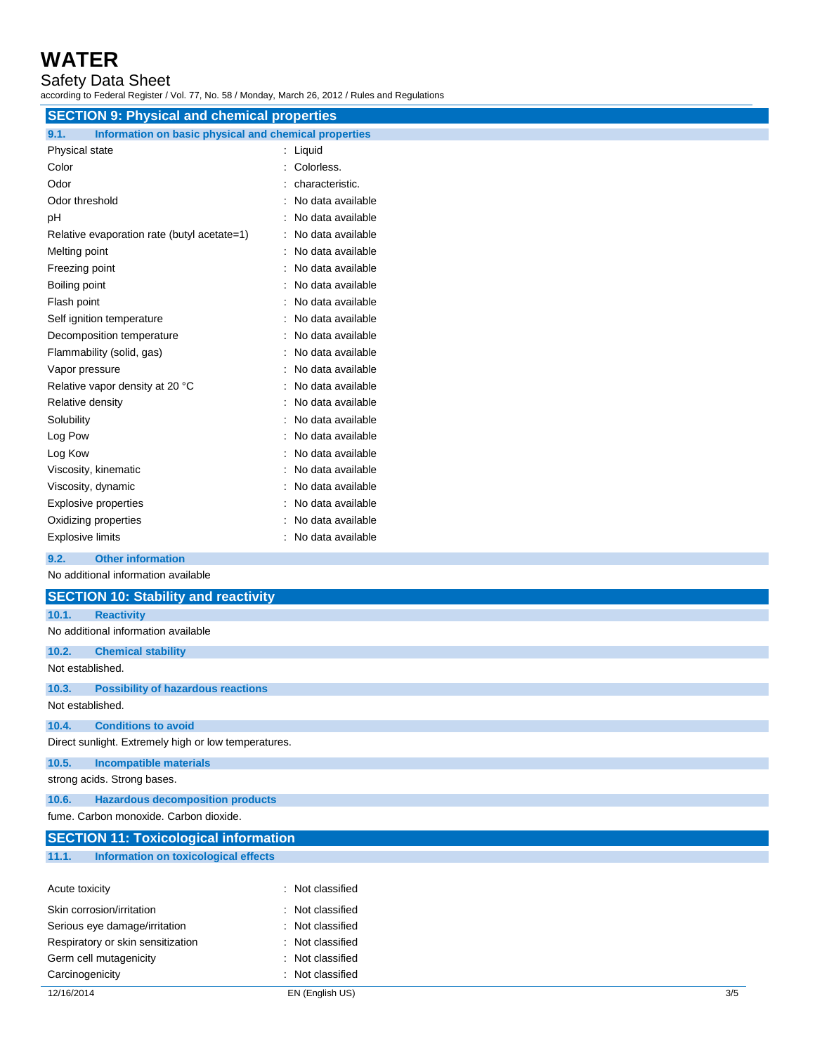# **WATER**

Safety Data Sheet

according to Federal Register / Vol. 77, No. 58 / Monday, March 26, 2012 / Rules and Regulations

| <b>SECTION 9: Physical and chemical properties</b> |                                                       |  |  |
|----------------------------------------------------|-------------------------------------------------------|--|--|
| 9.1.                                               | Information on basic physical and chemical properties |  |  |
| Physical state                                     | Liquid                                                |  |  |
| Color                                              | Colorless.                                            |  |  |
| Odor                                               | characteristic.                                       |  |  |
| Odor threshold                                     | No data available                                     |  |  |
| рH                                                 | No data available                                     |  |  |
| Relative evaporation rate (butyl acetate=1)        | No data available                                     |  |  |
| Melting point                                      | No data available                                     |  |  |
| Freezing point                                     | No data available                                     |  |  |
| Boiling point                                      | No data available                                     |  |  |
| Flash point                                        | No data available                                     |  |  |
| Self ignition temperature                          | No data available                                     |  |  |
| Decomposition temperature                          | No data available                                     |  |  |
| Flammability (solid, gas)                          | No data available                                     |  |  |
| Vapor pressure                                     | No data available                                     |  |  |
| Relative vapor density at 20 °C                    | No data available                                     |  |  |
| Relative density                                   | No data available                                     |  |  |
| Solubility                                         | No data available                                     |  |  |
| Log Pow                                            | No data available                                     |  |  |
| Log Kow                                            | No data available                                     |  |  |
| Viscosity, kinematic                               | No data available                                     |  |  |
| Viscosity, dynamic                                 | No data available                                     |  |  |
| <b>Explosive properties</b>                        | No data available                                     |  |  |
| Oxidizing properties                               | No data available                                     |  |  |
| <b>Explosive limits</b>                            | No data available                                     |  |  |
| <b>Other information</b><br>9.2.                   |                                                       |  |  |
| No additional information available                |                                                       |  |  |
| <b>SECTION 10: Stability and reactivity</b>        |                                                       |  |  |
|                                                    |                                                       |  |  |

| 10.1.            | <b>Reactivity</b>                                    |                  |
|------------------|------------------------------------------------------|------------------|
|                  | No additional information available                  |                  |
| 10.2.            | <b>Chemical stability</b>                            |                  |
| Not established. |                                                      |                  |
| 10.3.            | <b>Possibility of hazardous reactions</b>            |                  |
| Not established. |                                                      |                  |
| 10.4.            | <b>Conditions to avoid</b>                           |                  |
|                  | Direct sunlight. Extremely high or low temperatures. |                  |
| 10.5.            | <b>Incompatible materials</b>                        |                  |
|                  | strong acids. Strong bases.                          |                  |
| 10.6.            | <b>Hazardous decomposition products</b>              |                  |
|                  | fume. Carbon monoxide. Carbon dioxide.               |                  |
|                  | <b>SECTION 11: Toxicological information</b>         |                  |
| 11.1.            | Information on toxicological effects                 |                  |
| Acute toxicity   |                                                      | : Not classified |

| 12/16/2014                        | EN (English US)  | 3/5 |
|-----------------------------------|------------------|-----|
| Carcinogenicity                   | : Not classified |     |
| Germ cell mutagenicity            | : Not classified |     |
| Respiratory or skin sensitization | : Not classified |     |
| Serious eye damage/irritation     | : Not classified |     |
| Skin corrosion/irritation         | : Not classified |     |
| ACUTE TOXICITY                    | : NOT Classified |     |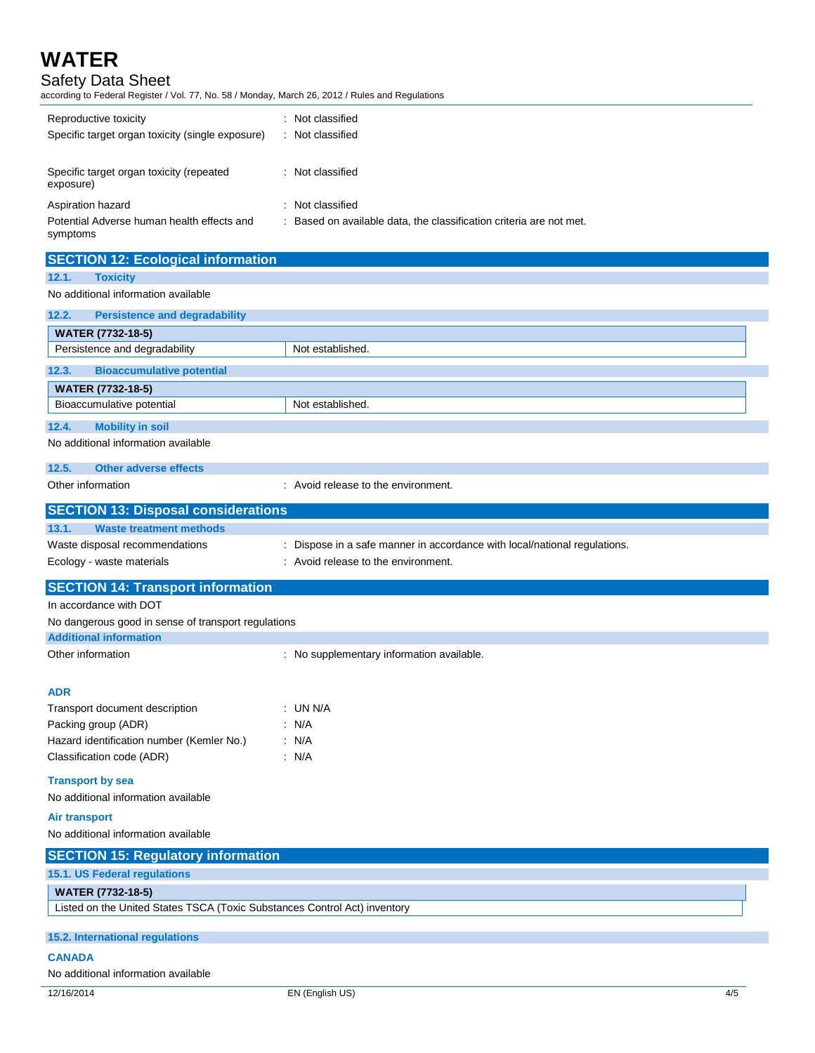## **WATER**

#### Safety Data Sheet

according to Federal Register / Vol. 77, No. 58 / Monday, March 26, 2012 / Rules and Regulations

| Reproductive toxicity<br>Specific target organ toxicity (single exposure) | Not classified<br>Not classified                                    |
|---------------------------------------------------------------------------|---------------------------------------------------------------------|
| Specific target organ toxicity (repeated<br>exposure)                     | : Not classified                                                    |
| Aspiration hazard                                                         | : Not classified                                                    |
| Potential Adverse human health effects and<br>symptoms                    | : Based on available data, the classification criteria are not met. |

| <b>SECTION 12: Ecological information</b>           |                                                                           |
|-----------------------------------------------------|---------------------------------------------------------------------------|
| 12.1.<br><b>Toxicity</b>                            |                                                                           |
| No additional information available                 |                                                                           |
| 12.2.<br><b>Persistence and degradability</b>       |                                                                           |
| <b>WATER (7732-18-5)</b>                            |                                                                           |
| Persistence and degradability                       | Not established.                                                          |
| <b>Bioaccumulative potential</b><br>12.3.           |                                                                           |
| <b>WATER (7732-18-5)</b>                            |                                                                           |
| Bioaccumulative potential                           | Not established.                                                          |
| 12.4.<br><b>Mobility in soil</b>                    |                                                                           |
| No additional information available                 |                                                                           |
| 12.5.<br><b>Other adverse effects</b>               |                                                                           |
| Other information                                   | : Avoid release to the environment.                                       |
| <b>SECTION 13: Disposal considerations</b>          |                                                                           |
| 13.1.<br><b>Waste treatment methods</b>             |                                                                           |
| Waste disposal recommendations                      | : Dispose in a safe manner in accordance with local/national regulations. |
| Ecology - waste materials                           | : Avoid release to the environment.                                       |
| <b>SECTION 14: Transport information</b>            |                                                                           |
| In accordance with DOT                              |                                                                           |
| No dangerous good in sense of transport regulations |                                                                           |
| <b>Additional information</b>                       |                                                                           |
| Other information                                   | : No supplementary information available.                                 |
| <b>ADR</b>                                          |                                                                           |
| Transport document description                      | : UN N/A                                                                  |
| Packing group (ADR)                                 | : N/A                                                                     |
| Hazard identification number (Kemler No.)           | : N/A                                                                     |
| Classification code (ADR)                           | : N/A                                                                     |
| <b>Transport by sea</b>                             |                                                                           |
| No additional information available                 |                                                                           |
| Air transport                                       |                                                                           |
| No additional information available                 |                                                                           |
| <b>SECTION 15: Requisiony information</b>           |                                                                           |

| <b>SECTION 15: Regulatory information</b>                                 |
|---------------------------------------------------------------------------|
| <b>15.1. US Federal regulations</b>                                       |
| <b>WATER (7732-18-5)</b>                                                  |
| Listed on the United States TSCA (Toxic Substances Control Act) inventory |
|                                                                           |
| 15.2. International regulations                                           |
| <b>CANADA</b>                                                             |
| No additional information available                                       |